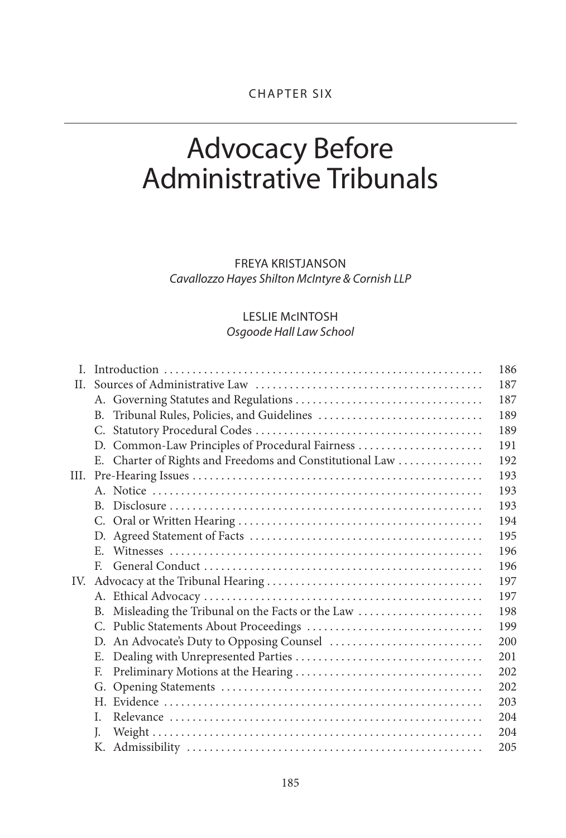# Advocacy Before Administrative Tribunals

## FREYA KRISTJANSON *Cavallozzo Hayes Shilton McIntyre & Cornish LLP*

# LESLIE McINTOSH

## *Osgoode Hall Law School*

| L    |                                                          | 186 |
|------|----------------------------------------------------------|-----|
| H.   |                                                          | 187 |
|      |                                                          | 187 |
|      | $B_{\cdot}$                                              | 189 |
|      |                                                          | 189 |
|      | D. Common-Law Principles of Procedural Fairness          | 191 |
|      | E. Charter of Rights and Freedoms and Constitutional Law | 192 |
| III. |                                                          | 193 |
|      |                                                          | 193 |
|      | B.                                                       | 193 |
|      |                                                          | 194 |
|      |                                                          | 195 |
|      | E.                                                       | 196 |
|      | F                                                        | 196 |
|      |                                                          | 197 |
|      |                                                          | 197 |
|      | Misleading the Tribunal on the Facts or the Law<br>B.    | 198 |
|      | C.                                                       | 199 |
|      | D.                                                       | 200 |
|      | Е.                                                       | 201 |
|      | E.                                                       | 202 |
|      |                                                          | 202 |
|      | Н.                                                       | 203 |
|      | L                                                        | 204 |
|      | L.                                                       | 204 |
|      | К.                                                       | 205 |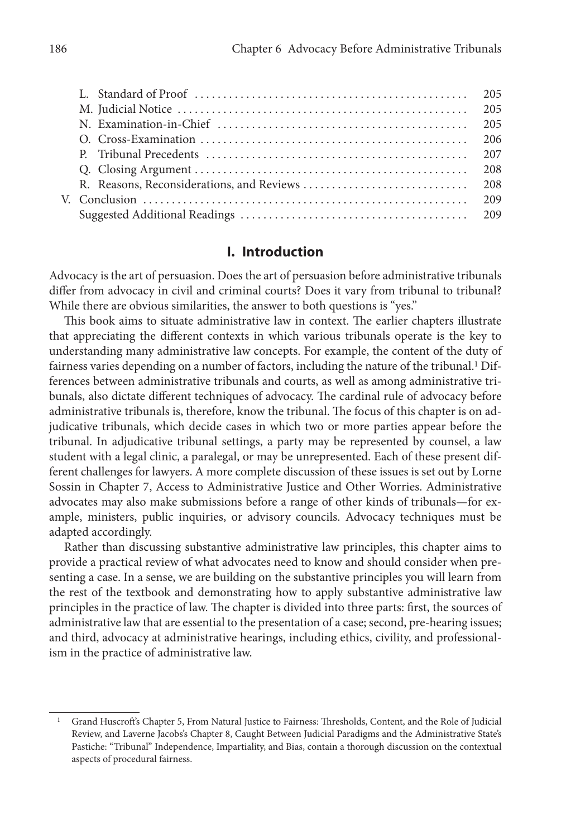<span id="page-1-0"></span>

|  | 205   |
|--|-------|
|  | 205   |
|  | 205   |
|  | 206   |
|  | 207   |
|  | 208   |
|  | - 208 |
|  | 209   |
|  |       |
|  |       |

#### **I. Introduction**

Advocacy is the art of persuasion. Does the art of persuasion before administrative tribunals differ from advocacy in civil and criminal courts? Does it vary from tribunal to tribunal? While there are obvious similarities, the answer to both questions is "yes."

This book aims to situate administrative law in context. The earlier chapters illustrate that appreciating the different contexts in which various tribunals operate is the key to understanding many administrative law concepts. For example, the content of the duty of fairness varies depending on a number of factors, including the nature of the tribunal.1 Differences between administrative tribunals and courts, as well as among administrative tribunals, also dictate different techniques of advocacy. The cardinal rule of advocacy before administrative tribunals is, therefore, know the tribunal. The focus of this chapter is on adjudicative tribunals, which decide cases in which two or more parties appear before the tribunal. In adjudicative tribunal settings, a party may be represented by counsel, a law student with a legal clinic, a paralegal, or may be unrepresented. Each of these present different challenges for lawyers. A more complete discussion of these issues is set out by Lorne Sossin in Chapter 7, Access to Administrative Justice and Other Worries. Administrative advocates may also make submissions before a range of other kinds of tribunals—for example, ministers, public inquiries, or advisory councils. Advocacy techniques must be adapted accordingly.

Rather than discussing substantive administrative law principles, this chapter aims to provide a practical review of what advocates need to know and should consider when presenting a case. In a sense, we are building on the substantive principles you will learn from the rest of the textbook and demonstrating how to apply substantive administrative law principles in the practice of law. The chapter is divided into three parts: first, the sources of administrative law that are essential to the presentation of a case; second, pre-hearing issues; and third, advocacy at administrative hearings, including ethics, civility, and professionalism in the practice of administrative law.

Grand Huscroft's Chapter 5, From Natural Justice to Fairness: Thresholds, Content, and the Role of Judicial Review, and Laverne Jacobs's Chapter 8, Caught Between Judicial Paradigms and the Administrative State's Pastiche: "Tribunal" Independence, Impartiality, and Bias, contain a thorough discussion on the contextual aspects of procedural fairness.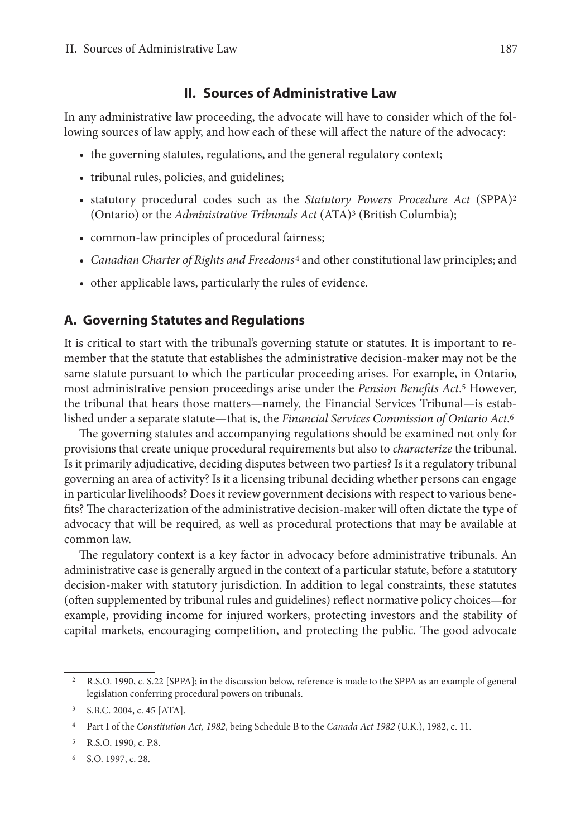## **II. Sources of Administrative Law**

<span id="page-2-0"></span>In any administrative law proceeding, the advocate will have to consider which of the following sources of law apply, and how each of these will affect the nature of the advocacy:

- the governing statutes, regulations, and the general regulatory context;
- tribunal rules, policies, and guidelines;
- statutory procedural codes such as the *Statutory Powers Procedure Act* (SPPA)<sup>2</sup> (Ontario) or the *Administrative Tribunals Act* (ATA)<sup>3</sup> (British Columbia);
- common-law principles of procedural fairness;
- • *Canadian Charter of Rights and Freedoms*<sup>4</sup> and other constitutional law principles; and
- other applicable laws, particularly the rules of evidence.

#### **A. Governing Statutes and Regulations**

It is critical to start with the tribunal's governing statute or statutes. It is important to remember that the statute that establishes the administrative decision-maker may not be the same statute pursuant to which the particular proceeding arises. For example, in Ontario, most administrative pension proceedings arise under the *Pension Benefits Act*. <sup>5</sup> However, the tribunal that hears those matters—namely, the Financial Services Tribunal—is established under a separate statute—that is, the *Financial Services Commission of Ontario Act*. 6

The governing statutes and accompanying regulations should be examined not only for provisions that create unique procedural requirements but also to *characterize* the tribunal. Is it primarily adjudicative, deciding disputes between two parties? Is it a regulatory tribunal governing an area of activity? Is it a licensing tribunal deciding whether persons can engage in particular livelihoods? Does it review government decisions with respect to various benefits? The characterization of the administrative decision-maker will often dictate the type of advocacy that will be required, as well as procedural protections that may be available at common law.

The regulatory context is a key factor in advocacy before administrative tribunals. An administrative case is generally argued in the context of a particular statute, before a statutory decision-maker with statutory jurisdiction. In addition to legal constraints, these statutes (often supplemented by tribunal rules and guidelines) reflect normative policy choices—for example, providing income for injured workers, protecting investors and the stability of capital markets, encouraging competition, and protecting the public. The good advocate

<sup>2</sup> R.S.O. 1990, c. S.22 [SPPA]; in the discussion below, reference is made to the SPPA as an example of general legislation conferring procedural powers on tribunals.

<sup>3</sup> S.B.C. 2004, c. 45 [ATA].

<sup>4</sup> Part I of the *Constitution Act, 1982*, being Schedule B to the *Canada Act 1982* (U.K.), 1982, c. 11.

<sup>5</sup> R.S.O. 1990, c. P.8.

<sup>6</sup> S.O. 1997, c. 28.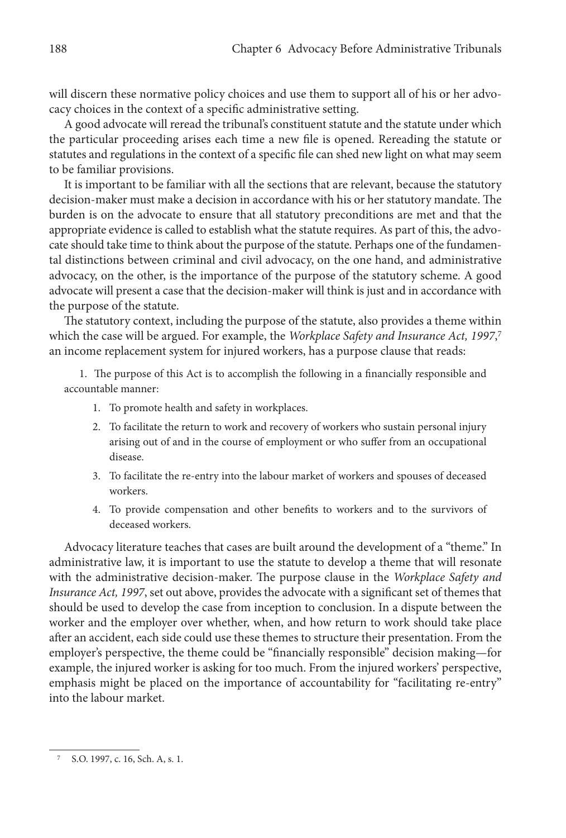will discern these normative policy choices and use them to support all of his or her advocacy choices in the context of a specific administrative setting.

A good advocate will reread the tribunal's constituent statute and the statute under which the particular proceeding arises each time a new file is opened. Rereading the statute or statutes and regulations in the context of a specific file can shed new light on what may seem to be familiar provisions.

It is important to be familiar with all the sections that are relevant, because the statutory decision-maker must make a decision in accordance with his or her statutory mandate. The burden is on the advocate to ensure that all statutory preconditions are met and that the appropriate evidence is called to establish what the statute requires. As part of this, the advocate should take time to think about the purpose of the statute. Perhaps one of the fundamental distinctions between criminal and civil advocacy, on the one hand, and administrative advocacy, on the other, is the importance of the purpose of the statutory scheme. A good advocate will present a case that the decision-maker will think is just and in accordance with the purpose of the statute.

The statutory context, including the purpose of the statute, also provides a theme within which the case will be argued. For example, the *Workplace Safety and Insurance Act, 1997*, 7 an income replacement system for injured workers, has a purpose clause that reads:

1. The purpose of this Act is to accomplish the following in a financially responsible and accountable manner:

- 1. To promote health and safety in workplaces.
- 2. To facilitate the return to work and recovery of workers who sustain personal injury arising out of and in the course of employment or who suffer from an occupational disease.
- 3. To facilitate the re-entry into the labour market of workers and spouses of deceased workers.
- 4. To provide compensation and other benefits to workers and to the survivors of deceased workers.

Advocacy literature teaches that cases are built around the development of a "theme." In administrative law, it is important to use the statute to develop a theme that will resonate with the administrative decision-maker. The purpose clause in the *Workplace Safety and Insurance Act, 1997*, set out above, provides the advocate with a significant set of themes that should be used to develop the case from inception to conclusion. In a dispute between the worker and the employer over whether, when, and how return to work should take place after an accident, each side could use these themes to structure their presentation. From the employer's perspective, the theme could be "financially responsible" decision making—for example, the injured worker is asking for too much. From the injured workers' perspective, emphasis might be placed on the importance of accountability for "facilitating re-entry" into the labour market.

S.O. 1997, c. 16, Sch. A, s. 1.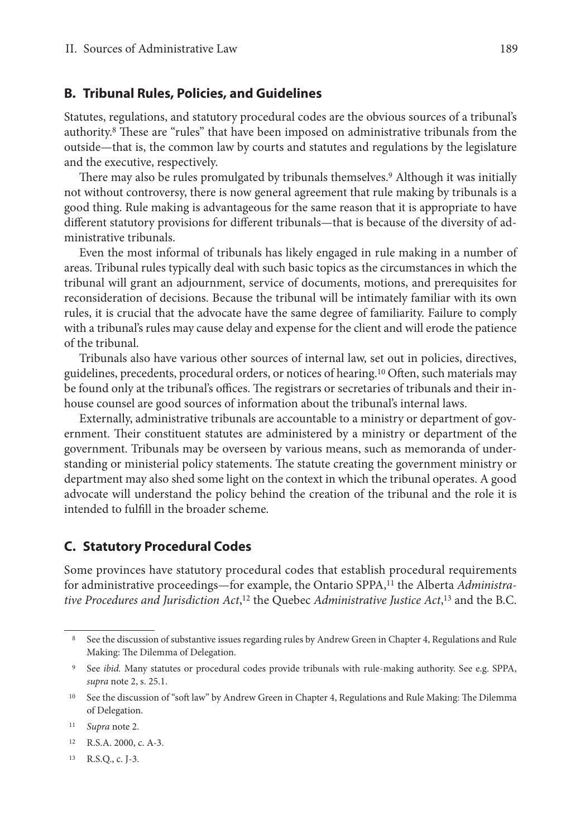#### <span id="page-4-0"></span>**B. Tribunal Rules, Policies, and Guidelines**

Statutes, regulations, and statutory procedural codes are the obvious sources of a tribunal's authority.8 These are "rules" that have been imposed on administrative tribunals from the outside—that is, the common law by courts and statutes and regulations by the legislature and the executive, respectively.

There may also be rules promulgated by tribunals themselves.9 Although it was initially not without controversy, there is now general agreement that rule making by tribunals is a good thing. Rule making is advantageous for the same reason that it is appropriate to have different statutory provisions for different tribunals—that is because of the diversity of administrative tribunals.

Even the most informal of tribunals has likely engaged in rule making in a number of areas. Tribunal rules typically deal with such basic topics as the circumstances in which the tribunal will grant an adjournment, service of documents, motions, and prerequisites for reconsideration of decisions. Because the tribunal will be intimately familiar with its own rules, it is crucial that the advocate have the same degree of familiarity. Failure to comply with a tribunal's rules may cause delay and expense for the client and will erode the patience of the tribunal.

Tribunals also have various other sources of internal law, set out in policies, directives, guidelines, precedents, procedural orders, or notices of hearing.10 Often, such materials may be found only at the tribunal's offices. The registrars or secretaries of tribunals and their inhouse counsel are good sources of information about the tribunal's internal laws.

Externally, administrative tribunals are accountable to a ministry or department of government. Their constituent statutes are administered by a ministry or department of the government. Tribunals may be overseen by various means, such as memoranda of understanding or ministerial policy statements. The statute creating the government ministry or department may also shed some light on the context in which the tribunal operates. A good advocate will understand the policy behind the creation of the tribunal and the role it is intended to fulfill in the broader scheme.

#### **C. Statutory Procedural Codes**

Some provinces have statutory procedural codes that establish procedural requirements for administrative proceedings—for example, the Ontario SPPA,11 the Alberta *Administrative Procedures and Jurisdiction Act*, <sup>12</sup> the Quebec *Administrative Justice Act*, <sup>13</sup> and the B.C.

<sup>&</sup>lt;sup>8</sup> See the discussion of substantive issues regarding rules by Andrew Green in Chapter 4, Regulations and Rule Making: The Dilemma of Delegation.

<sup>9</sup> See *ibid.* Many statutes or procedural codes provide tribunals with rule-making authority. See e.g. SPPA, *supra* note 2, s. 25.1.

<sup>&</sup>lt;sup>10</sup> See the discussion of "soft law" by Andrew Green in Chapter 4, Regulations and Rule Making: The Dilemma of Delegation.

<sup>11</sup> *Supra* note 2.

<sup>12</sup> R.S.A. 2000, c. A-3.

<sup>13</sup> R.S.Q., c. J-3.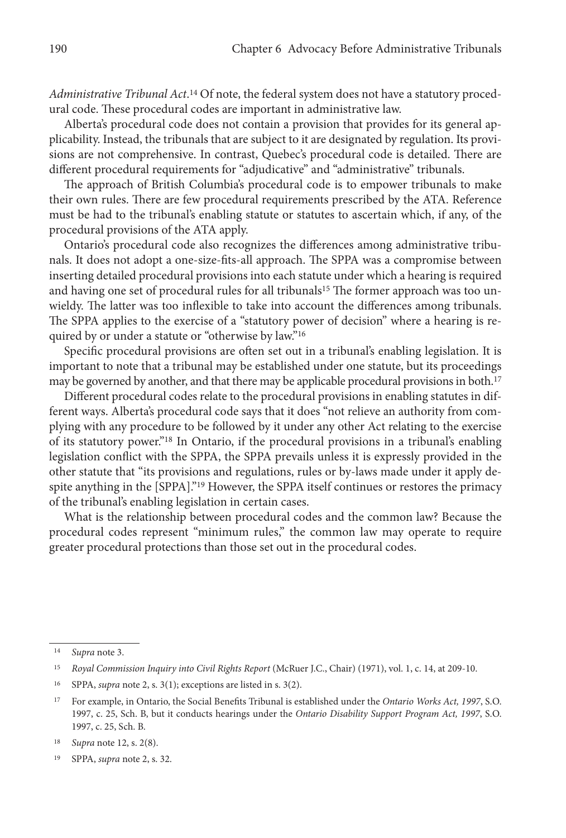*Administrative Tribunal Act*. <sup>14</sup> Of note, the federal system does not have a statutory procedural code. These procedural codes are important in administrative law.

Alberta's procedural code does not contain a provision that provides for its general applicability. Instead, the tribunals that are subject to it are designated by regulation. Its provisions are not comprehensive. In contrast, Quebec's procedural code is detailed. There are different procedural requirements for "adjudicative" and "administrative" tribunals.

The approach of British Columbia's procedural code is to empower tribunals to make their own rules. There are few procedural requirements prescribed by the ATA. Reference must be had to the tribunal's enabling statute or statutes to ascertain which, if any, of the procedural provisions of the ATA apply.

Ontario's procedural code also recognizes the differences among administrative tribunals. It does not adopt a one-size-fits-all approach. The SPPA was a compromise between inserting detailed procedural provisions into each statute under which a hearing is required and having one set of procedural rules for all tribunals<sup>15</sup> The former approach was too unwieldy. The latter was too inflexible to take into account the differences among tribunals. The SPPA applies to the exercise of a "statutory power of decision" where a hearing is required by or under a statute or "otherwise by law."16

Specific procedural provisions are often set out in a tribunal's enabling legislation. It is important to note that a tribunal may be established under one statute, but its proceedings may be governed by another, and that there may be applicable procedural provisions in both.<sup>17</sup>

Different procedural codes relate to the procedural provisions in enabling statutes in different ways. Alberta's procedural code says that it does "not relieve an authority from complying with any procedure to be followed by it under any other Act relating to the exercise of its statutory power."18 In Ontario, if the procedural provisions in a tribunal's enabling legislation conflict with the SPPA, the SPPA prevails unless it is expressly provided in the other statute that "its provisions and regulations, rules or by-laws made under it apply despite anything in the [SPPA]."19 However, the SPPA itself continues or restores the primacy of the tribunal's enabling legislation in certain cases.

What is the relationship between procedural codes and the common law? Because the procedural codes represent "minimum rules," the common law may operate to require greater procedural protections than those set out in the procedural codes.

<sup>14</sup> *Supra* note 3.

<sup>15</sup> *Royal Commission Inquiry into Civil Rights Report* (McRuer J.C., Chair) (1971), vol. 1, c. 14, at 209-10.

<sup>16</sup> SPPA, *supra* note 2, s. 3(1); exceptions are listed in s. 3(2).

<sup>&</sup>lt;sup>17</sup> For example, in Ontario, the Social Benefits Tribunal is established under the *Ontario Works Act*, 1997, S.O. 1997, c. 25, Sch. B, but it conducts hearings under the *Ontario Disability Support Program Act, 1997*, S.O. 1997, c. 25, Sch. B.

<sup>18</sup> *Supra* note 12, s. 2(8).

<sup>19</sup> SPPA, *supra* note 2, s. 32.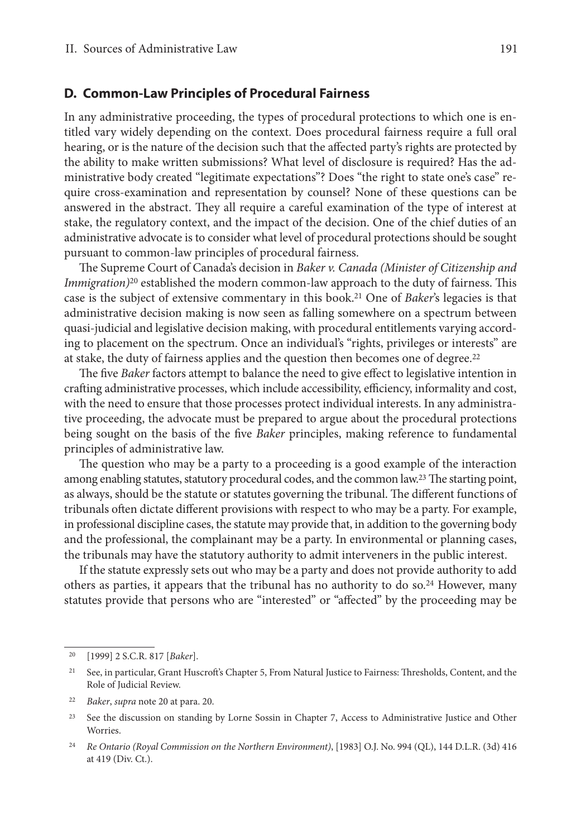#### <span id="page-6-0"></span>**D. Common-Law Principles of Procedural Fairness**

In any administrative proceeding, the types of procedural protections to which one is entitled vary widely depending on the context. Does procedural fairness require a full oral hearing, or is the nature of the decision such that the affected party's rights are protected by the ability to make written submissions? What level of disclosure is required? Has the administrative body created "legitimate expectations"? Does "the right to state one's case" require cross-examination and representation by counsel? None of these questions can be answered in the abstract. They all require a careful examination of the type of interest at stake, the regulatory context, and the impact of the decision. One of the chief duties of an administrative advocate is to consider what level of procedural protections should be sought pursuant to common-law principles of procedural fairness.

The Supreme Court of Canada's decision in *Baker v. Canada (Minister of Citizenship and Immigration*)<sup>20</sup> established the modern common-law approach to the duty of fairness. This case is the subject of extensive commentary in this book.21 One of *Baker*'s legacies is that administrative decision making is now seen as falling somewhere on a spectrum between quasi-judicial and legislative decision making, with procedural entitlements varying according to placement on the spectrum. Once an individual's "rights, privileges or interests" are at stake, the duty of fairness applies and the question then becomes one of degree.22

The five *Baker* factors attempt to balance the need to give effect to legislative intention in crafting administrative processes, which include accessibility, efficiency, informality and cost, with the need to ensure that those processes protect individual interests. In any administrative proceeding, the advocate must be prepared to argue about the procedural protections being sought on the basis of the five *Baker* principles, making reference to fundamental principles of administrative law.

The question who may be a party to a proceeding is a good example of the interaction among enabling statutes, statutory procedural codes, and the common law.<sup>23</sup> The starting point, as always, should be the statute or statutes governing the tribunal. The different functions of tribunals often dictate different provisions with respect to who may be a party. For example, in professional discipline cases, the statute may provide that, in addition to the governing body and the professional, the complainant may be a party. In environmental or planning cases, the tribunals may have the statutory authority to admit interveners in the public interest.

If the statute expressly sets out who may be a party and does not provide authority to add others as parties, it appears that the tribunal has no authority to do so.24 However, many statutes provide that persons who are "interested" or "affected" by the proceeding may be

<sup>20 [1999]</sup> 2 S.C.R. 817 [*Baker*].

<sup>&</sup>lt;sup>21</sup> See, in particular, Grant Huscroft's Chapter 5, From Natural Justice to Fairness: Thresholds, Content, and the Role of Judicial Review.

<sup>22</sup> *Baker*, *supra* note 20 at para. 20.

<sup>&</sup>lt;sup>23</sup> See the discussion on standing by Lorne Sossin in Chapter 7, Access to Administrative Justice and Other Worries.

<sup>24</sup> *Re Ontario (Royal Commission on the Northern Environment)*, [1983] O.J. No. 994 (QL), 144 D.L.R. (3d) 416 at 419 (Div. Ct.).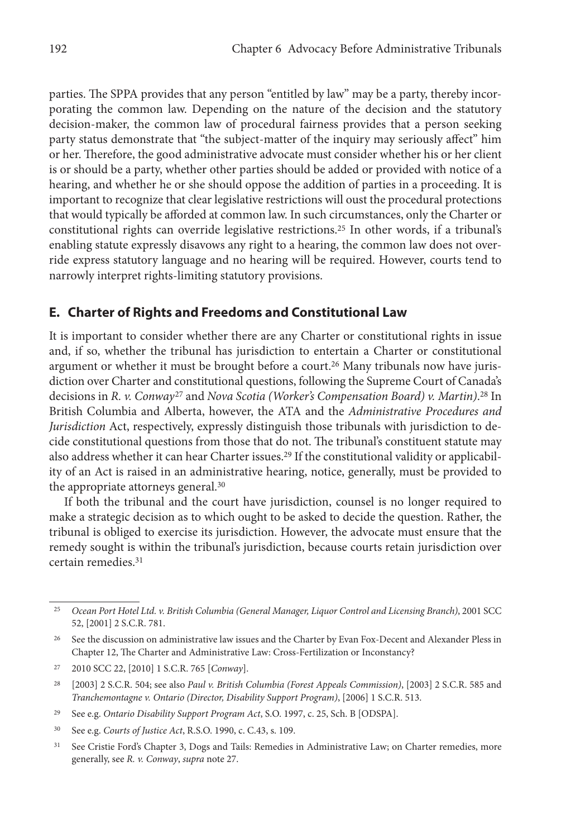<span id="page-7-0"></span>parties. The SPPA provides that any person "entitled by law" may be a party, thereby incorporating the common law. Depending on the nature of the decision and the statutory decision-maker, the common law of procedural fairness provides that a person seeking party status demonstrate that "the subject-matter of the inquiry may seriously affect" him or her. Therefore, the good administrative advocate must consider whether his or her client is or should be a party, whether other parties should be added or provided with notice of a hearing, and whether he or she should oppose the addition of parties in a proceeding. It is important to recognize that clear legislative restrictions will oust the procedural protections that would typically be afforded at common law. In such circumstances, only the Charter or constitutional rights can override legislative restrictions.25 In other words, if a tribunal's enabling statute expressly disavows any right to a hearing, the common law does not override express statutory language and no hearing will be required. However, courts tend to narrowly interpret rights-limiting statutory provisions.

#### **E. Charter of Rights and Freedoms and Constitutional Law**

It is important to consider whether there are any Charter or constitutional rights in issue and, if so, whether the tribunal has jurisdiction to entertain a Charter or constitutional argument or whether it must be brought before a court.<sup>26</sup> Many tribunals now have jurisdiction over Charter and constitutional questions, following the Supreme Court of Canada's decisions in *R. v. Conway*<sup>27</sup> and *Nova Scotia (Worker's Compensation Board) v. Martin)*. <sup>28</sup> In British Columbia and Alberta, however, the ATA and the *Administrative Procedures and Jurisdiction* Act, respectively, expressly distinguish those tribunals with jurisdiction to decide constitutional questions from those that do not. The tribunal's constituent statute may also address whether it can hear Charter issues.<sup>29</sup> If the constitutional validity or applicability of an Act is raised in an administrative hearing, notice, generally, must be provided to the appropriate attorneys general.30

If both the tribunal and the court have jurisdiction, counsel is no longer required to make a strategic decision as to which ought to be asked to decide the question. Rather, the tribunal is obliged to exercise its jurisdiction. However, the advocate must ensure that the remedy sought is within the tribunal's jurisdiction, because courts retain jurisdiction over certain remedies.31

29 See e.g. *Ontario Disability Support Program Act*, S.O. 1997, c. 25, Sch. B [ODSPA].

<sup>25</sup> *Ocean Port Hotel Ltd. v. British Columbia (General Manager, Liquor Control and Licensing Branch)*, 2001 SCC 52, [2001] 2 S.C.R. 781.

<sup>&</sup>lt;sup>26</sup> See the discussion on administrative law issues and the Charter by Evan Fox-Decent and Alexander Pless in Chapter 12, The Charter and Administrative Law: Cross-Fertilization or Inconstancy?

<sup>27 2010</sup> SCC 22, [2010] 1 S.C.R. 765 [*Conway*].

<sup>28 [2003]</sup> 2 S.C.R. 504; see also *Paul v. British Columbia (Forest Appeals Commission)*, [2003] 2 S.C.R. 585 and *Tranchemontagne v. Ontario (Director, Disability Support Program)*, [2006] 1 S.C.R. 513.

<sup>30</sup> See e.g. *Courts of Justice Act*, R.S.O. 1990, c. C.43, s. 109.

<sup>&</sup>lt;sup>31</sup> See Cristie Ford's Chapter 3, Dogs and Tails: Remedies in Administrative Law; on Charter remedies, more generally, see *R. v. Conway*, *supra* note 27.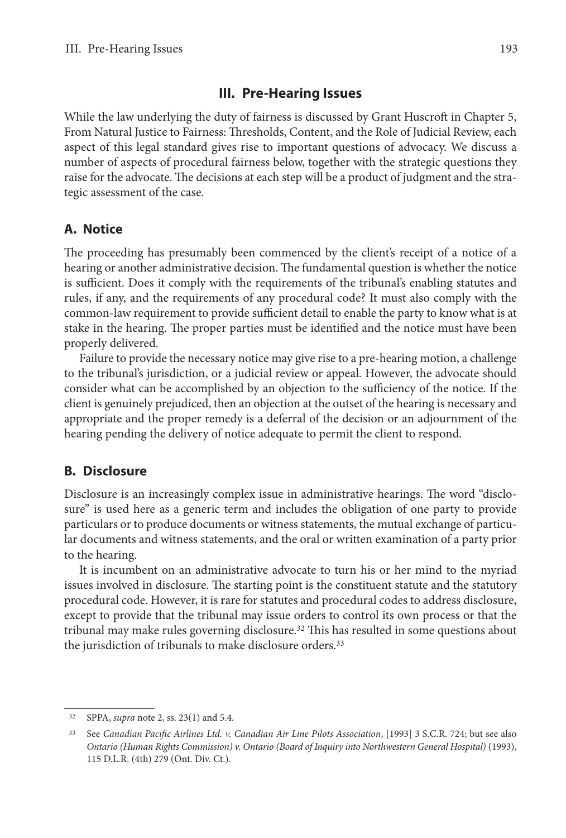## **III. Pre-Hearing Issues**

<span id="page-8-0"></span>While the law underlying the duty of fairness is discussed by Grant Huscroft in Chapter 5, From Natural Justice to Fairness: Thresholds, Content, and the Role of Judicial Review, each aspect of this legal standard gives rise to important questions of advocacy. We discuss a number of aspects of procedural fairness below, together with the strategic questions they raise for the advocate. The decisions at each step will be a product of judgment and the strategic assessment of the case.

# **A. Notice**

The proceeding has presumably been commenced by the client's receipt of a notice of a hearing or another administrative decision. The fundamental question is whether the notice is sufficient. Does it comply with the requirements of the tribunal's enabling statutes and rules, if any, and the requirements of any procedural code? It must also comply with the common-law requirement to provide sufficient detail to enable the party to know what is at stake in the hearing. The proper parties must be identified and the notice must have been properly delivered.

Failure to provide the necessary notice may give rise to a pre-hearing motion, a challenge to the tribunal's jurisdiction, or a judicial review or appeal. However, the advocate should consider what can be accomplished by an objection to the sufficiency of the notice. If the client is genuinely prejudiced, then an objection at the outset of the hearing is necessary and appropriate and the proper remedy is a deferral of the decision or an adjournment of the hearing pending the delivery of notice adequate to permit the client to respond.

# **B. Disclosure**

Disclosure is an increasingly complex issue in administrative hearings. The word "disclosure" is used here as a generic term and includes the obligation of one party to provide particulars or to produce documents or witness statements, the mutual exchange of particular documents and witness statements, and the oral or written examination of a party prior to the hearing.

It is incumbent on an administrative advocate to turn his or her mind to the myriad issues involved in disclosure. The starting point is the constituent statute and the statutory procedural code. However, it is rare for statutes and procedural codes to address disclosure, except to provide that the tribunal may issue orders to control its own process or that the tribunal may make rules governing disclosure.32 This has resulted in some questions about the jurisdiction of tribunals to make disclosure orders.33

<sup>32</sup> SPPA, *supra* note 2, ss. 23(1) and 5.4.

<sup>33</sup> See *Canadian Pacific Airlines Ltd. v. Canadian Air Line Pilots Association*, [1993] 3 S.C.R. 724; but see also *Ontario (Human Rights Commission) v. Ontario (Board of Inquiry into Northwestern General Hospital)* (1993), 115 D.L.R. (4th) 279 (Ont. Div. Ct.).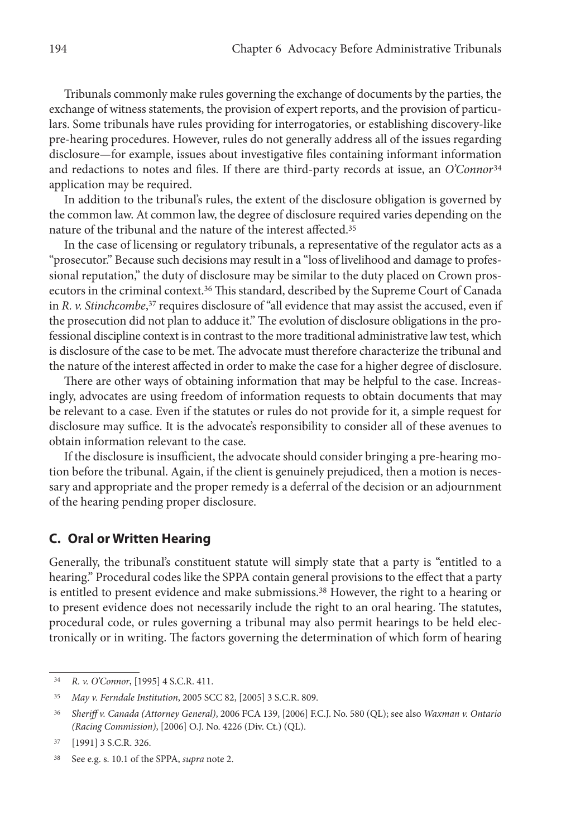<span id="page-9-0"></span>Tribunals commonly make rules governing the exchange of documents by the parties, the exchange of witness statements, the provision of expert reports, and the provision of particulars. Some tribunals have rules providing for interrogatories, or establishing discovery-like pre-hearing procedures. However, rules do not generally address all of the issues regarding disclosure—for example, issues about investigative files containing informant information and redactions to notes and files. If there are third-party records at issue, an *O'Connor*<sup>34</sup> application may be required.

In addition to the tribunal's rules, the extent of the disclosure obligation is governed by the common law. At common law, the degree of disclosure required varies depending on the nature of the tribunal and the nature of the interest affected.35

In the case of licensing or regulatory tribunals, a representative of the regulator acts as a "prosecutor." Because such decisions may result in a "loss of livelihood and damage to professional reputation," the duty of disclosure may be similar to the duty placed on Crown prosecutors in the criminal context.36 This standard, described by the Supreme Court of Canada in *R. v. Stinchcombe*, <sup>37</sup> requires disclosure of"all evidence that may assist the accused, even if the prosecution did not plan to adduce it." The evolution of disclosure obligations in the professional discipline context is in contrast to the more traditional administrative law test, which is disclosure of the case to be met. The advocate must therefore characterize the tribunal and the nature of the interest affected in order to make the case for a higher degree of disclosure.

There are other ways of obtaining information that may be helpful to the case. Increasingly, advocates are using freedom of information requests to obtain documents that may be relevant to a case. Even if the statutes or rules do not provide for it, a simple request for disclosure may suffice. It is the advocate's responsibility to consider all of these avenues to obtain information relevant to the case.

If the disclosure is insufficient, the advocate should consider bringing a pre-hearing motion before the tribunal. Again, if the client is genuinely prejudiced, then a motion is necessary and appropriate and the proper remedy is a deferral of the decision or an adjournment of the hearing pending proper disclosure.

#### **C. Oral or Written Hearing**

Generally, the tribunal's constituent statute will simply state that a party is "entitled to a hearing." Procedural codes like the SPPA contain general provisions to the effect that a party is entitled to present evidence and make submissions.38 However, the right to a hearing or to present evidence does not necessarily include the right to an oral hearing. The statutes, procedural code, or rules governing a tribunal may also permit hearings to be held electronically or in writing. The factors governing the determination of which form of hearing

<sup>34</sup> *R. v. O'Connor*, [1995] 4 S.C.R. 411.

<sup>35</sup> *May v. Ferndale Institution*, 2005 SCC 82, [2005] 3 S.C.R. 809.

<sup>36</sup> *Sheriff v. Canada (Attorney General)*, 2006 FCA 139, [2006] F.C.J. No. 580 (QL); see also *Waxman v. Ontario (Racing Commission)*, [2006] O.J. No. 4226 (Div. Ct.) (QL).

<sup>37 [1991]</sup> 3 S.C.R. 326.

<sup>38</sup> See e.g. s. 10.1 of the SPPA, *supra* note 2.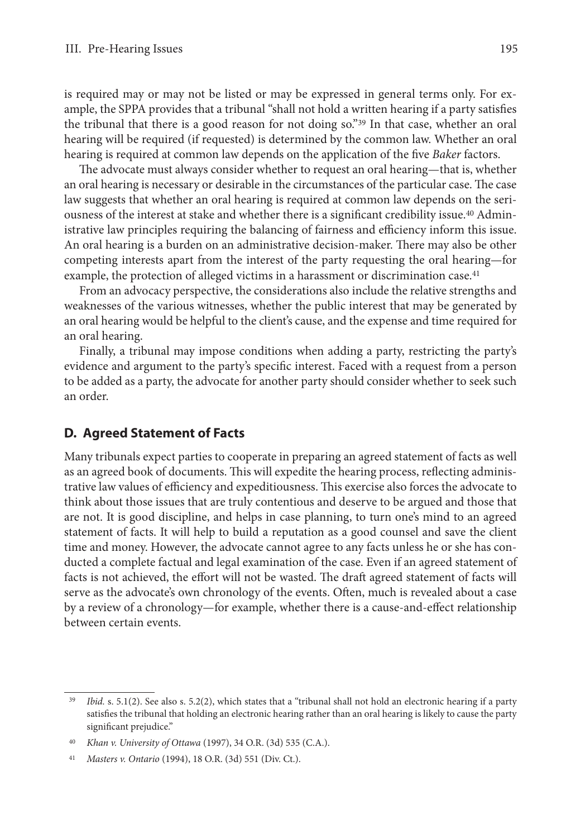<span id="page-10-0"></span>is required may or may not be listed or may be expressed in general terms only. For example, the SPPA provides that a tribunal "shall not hold a written hearing if a party satisfies the tribunal that there is a good reason for not doing so."39 In that case, whether an oral hearing will be required (if requested) is determined by the common law. Whether an oral hearing is required at common law depends on the application of the five *Baker* factors.

The advocate must always consider whether to request an oral hearing—that is, whether an oral hearing is necessary or desirable in the circumstances of the particular case. The case law suggests that whether an oral hearing is required at common law depends on the seriousness of the interest at stake and whether there is a significant credibility issue.40 Administrative law principles requiring the balancing of fairness and efficiency inform this issue. An oral hearing is a burden on an administrative decision-maker. There may also be other competing interests apart from the interest of the party requesting the oral hearing—for example, the protection of alleged victims in a harassment or discrimination case.<sup>41</sup>

From an advocacy perspective, the considerations also include the relative strengths and weaknesses of the various witnesses, whether the public interest that may be generated by an oral hearing would be helpful to the client's cause, and the expense and time required for an oral hearing.

Finally, a tribunal may impose conditions when adding a party, restricting the party's evidence and argument to the party's specific interest. Faced with a request from a person to be added as a party, the advocate for another party should consider whether to seek such an order.

## **D. Agreed Statement of Facts**

Many tribunals expect parties to cooperate in preparing an agreed statement of facts as well as an agreed book of documents. This will expedite the hearing process, reflecting administrative law values of efficiency and expeditiousness. This exercise also forces the advocate to think about those issues that are truly contentious and deserve to be argued and those that are not. It is good discipline, and helps in case planning, to turn one's mind to an agreed statement of facts. It will help to build a reputation as a good counsel and save the client time and money. However, the advocate cannot agree to any facts unless he or she has conducted a complete factual and legal examination of the case. Even if an agreed statement of facts is not achieved, the effort will not be wasted. The draft agreed statement of facts will serve as the advocate's own chronology of the events. Often, much is revealed about a case by a review of a chronology—for example, whether there is a cause-and-effect relationship between certain events.

<sup>&</sup>lt;sup>39</sup> *Ibid.* s. 5.1(2). See also s. 5.2(2), which states that a "tribunal shall not hold an electronic hearing if a party satisfies the tribunal that holding an electronic hearing rather than an oral hearing is likely to cause the party significant prejudice."

<sup>40</sup> *Khan v. University of Ottawa* (1997), 34 O.R. (3d) 535 (C.A.).

<sup>41</sup> *Masters v. Ontario* (1994), 18 O.R. (3d) 551 (Div. Ct.).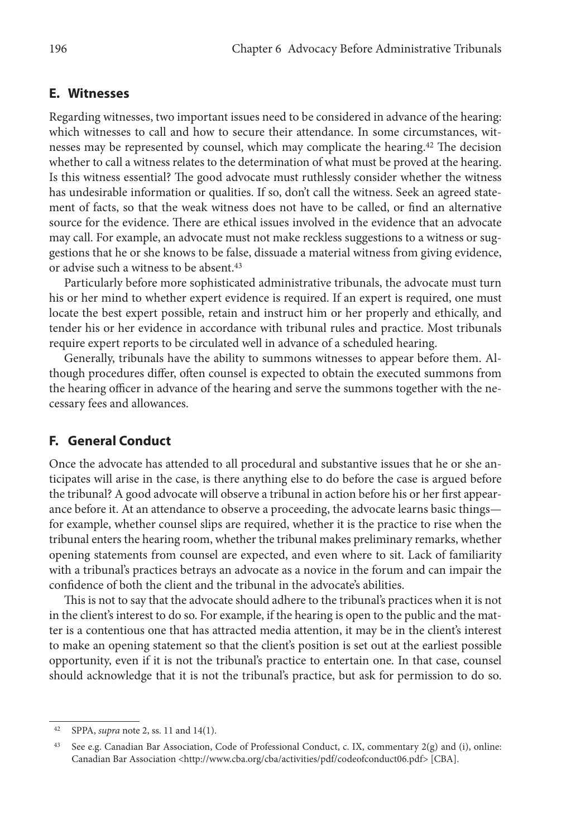## <span id="page-11-0"></span>**E. Witnesses**

Regarding witnesses, two important issues need to be considered in advance of the hearing: which witnesses to call and how to secure their attendance. In some circumstances, witnesses may be represented by counsel, which may complicate the hearing.42 The decision whether to call a witness relates to the determination of what must be proved at the hearing. Is this witness essential? The good advocate must ruthlessly consider whether the witness has undesirable information or qualities. If so, don't call the witness. Seek an agreed statement of facts, so that the weak witness does not have to be called, or find an alternative source for the evidence. There are ethical issues involved in the evidence that an advocate may call. For example, an advocate must not make reckless suggestions to a witness or suggestions that he or she knows to be false, dissuade a material witness from giving evidence, or advise such a witness to be absent.43

Particularly before more sophisticated administrative tribunals, the advocate must turn his or her mind to whether expert evidence is required. If an expert is required, one must locate the best expert possible, retain and instruct him or her properly and ethically, and tender his or her evidence in accordance with tribunal rules and practice. Most tribunals require expert reports to be circulated well in advance of a scheduled hearing.

Generally, tribunals have the ability to summons witnesses to appear before them. Although procedures differ, often counsel is expected to obtain the executed summons from the hearing officer in advance of the hearing and serve the summons together with the necessary fees and allowances.

## **F. General Conduct**

Once the advocate has attended to all procedural and substantive issues that he or she anticipates will arise in the case, is there anything else to do before the case is argued before the tribunal? A good advocate will observe a tribunal in action before his or her first appearance before it. At an attendance to observe a proceeding, the advocate learns basic things for example, whether counsel slips are required, whether it is the practice to rise when the tribunal enters the hearing room, whether the tribunal makes preliminary remarks, whether opening statements from counsel are expected, and even where to sit. Lack of familiarity with a tribunal's practices betrays an advocate as a novice in the forum and can impair the confidence of both the client and the tribunal in the advocate's abilities.

This is not to say that the advocate should adhere to the tribunal's practices when it is not in the client's interest to do so. For example, if the hearing is open to the public and the matter is a contentious one that has attracted media attention, it may be in the client's interest to make an opening statement so that the client's position is set out at the earliest possible opportunity, even if it is not the tribunal's practice to entertain one. In that case, counsel should acknowledge that it is not the tribunal's practice, but ask for permission to do so.

<sup>42</sup> SPPA, *supra* note 2, ss. 11 and 14(1).

<sup>&</sup>lt;sup>43</sup> See e.g. Canadian Bar Association, Code of Professional Conduct, c. IX, commentary  $2(g)$  and (i), online: Canadian Bar Association <http://www.cba.org/cba/activities/pdf/codeofconduct06.pdf> [CBA].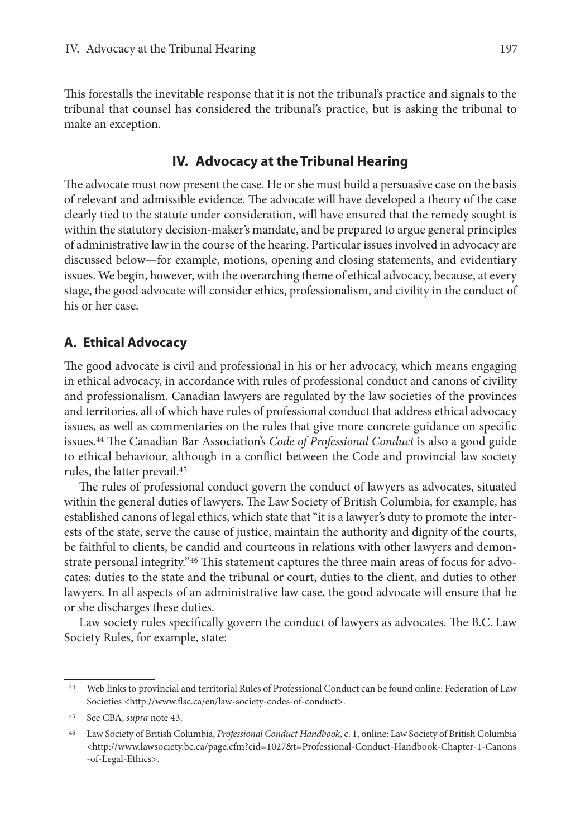<span id="page-12-0"></span>This forestalls the inevitable response that it is not the tribunal's practice and signals to the tribunal that counsel has considered the tribunal's practice, but is asking the tribunal to make an exception.

## **IV. Advocacy at the Tribunal Hearing**

The advocate must now present the case. He or she must build a persuasive case on the basis of relevant and admissible evidence. The advocate will have developed a theory of the case clearly tied to the statute under consideration, will have ensured that the remedy sought is within the statutory decision-maker's mandate, and be prepared to argue general principles of administrative law in the course of the hearing. Particular issues involved in advocacy are discussed below—for example, motions, opening and closing statements, and evidentiary issues. We begin, however, with the overarching theme of ethical advocacy, because, at every stage, the good advocate will consider ethics, professionalism, and civility in the conduct of his or her case.

#### **A. Ethical Advocacy**

The good advocate is civil and professional in his or her advocacy, which means engaging in ethical advocacy, in accordance with rules of professional conduct and canons of civility and professionalism. Canadian lawyers are regulated by the law societies of the provinces and territories, all of which have rules of professional conduct that address ethical advocacy issues, as well as commentaries on the rules that give more concrete guidance on specific issues.44 The Canadian Bar Association's *Code of Professional Conduct* is also a good guide to ethical behaviour, although in a conflict between the Code and provincial law society rules, the latter prevail.45

The rules of professional conduct govern the conduct of lawyers as advocates, situated within the general duties of lawyers. The Law Society of British Columbia, for example, has established canons of legal ethics, which state that "it is a lawyer's duty to promote the interests of the state, serve the cause of justice, maintain the authority and dignity of the courts, be faithful to clients, be candid and courteous in relations with other lawyers and demonstrate personal integrity."46 This statement captures the three main areas of focus for advocates: duties to the state and the tribunal or court, duties to the client, and duties to other lawyers. In all aspects of an administrative law case, the good advocate will ensure that he or she discharges these duties.

Law society rules specifically govern the conduct of lawyers as advocates. The B.C. Law Society Rules, for example, state:

<sup>44</sup> Web links to provincial and territorial Rules of Professional Conduct can be found online: Federation of Law Societies <http://www.flsc.ca/en/law-society-codes-of-conduct>.

<sup>45</sup> See CBA, *supra* note 43.

<sup>46</sup> Law Society of British Columbia, *Professional Conduct Handbook*, c. 1, online: Law Society of British Columbia <http://www.lawsociety.bc.ca/page.cfm?cid=1027&t=Professional-Conduct-Handbook-Chapter-1-Canons -of-Legal-Ethics>.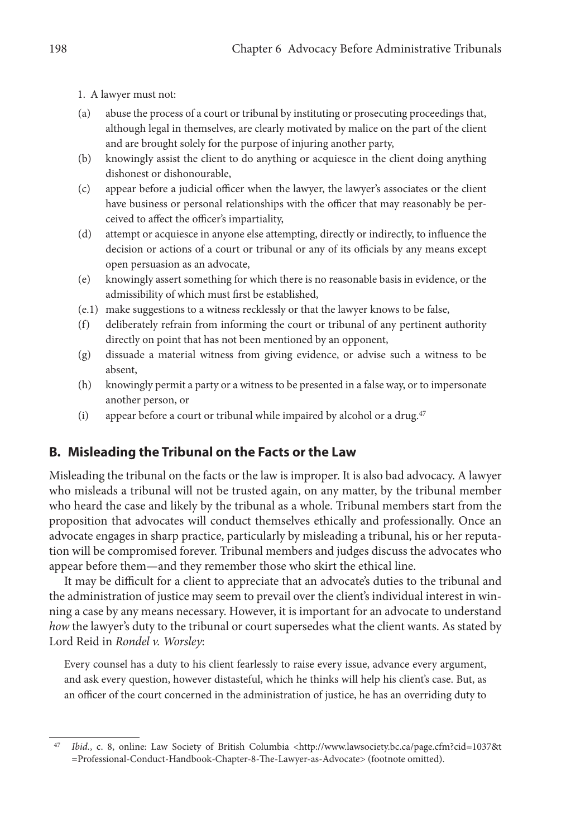<span id="page-13-0"></span> 1. A lawyer must not:

- (a) abuse the process of a court or tribunal by instituting or prosecuting proceedings that, although legal in themselves, are clearly motivated by malice on the part of the client and are brought solely for the purpose of injuring another party,
- (b) knowingly assist the client to do anything or acquiesce in the client doing anything dishonest or dishonourable,
- (c) appear before a judicial officer when the lawyer, the lawyer's associates or the client have business or personal relationships with the officer that may reasonably be perceived to affect the officer's impartiality,
- (d) attempt or acquiesce in anyone else attempting, directly or indirectly, to influence the decision or actions of a court or tribunal or any of its officials by any means except open persuasion as an advocate,
- (e) knowingly assert something for which there is no reasonable basis in evidence, or the admissibility of which must first be established,
- (e.1) make suggestions to a witness recklessly or that the lawyer knows to be false,
- (f) deliberately refrain from informing the court or tribunal of any pertinent authority directly on point that has not been mentioned by an opponent,
- (g) dissuade a material witness from giving evidence, or advise such a witness to be absent,
- (h) knowingly permit a party or a witness to be presented in a false way, or to impersonate another person, or
- (i) appear before a court or tribunal while impaired by alcohol or a drug.<sup>47</sup>

## **B. Misleading the Tribunal on the Facts or the Law**

Misleading the tribunal on the facts or the law is improper. It is also bad advocacy. A lawyer who misleads a tribunal will not be trusted again, on any matter, by the tribunal member who heard the case and likely by the tribunal as a whole. Tribunal members start from the proposition that advocates will conduct themselves ethically and professionally. Once an advocate engages in sharp practice, particularly by misleading a tribunal, his or her reputation will be compromised forever. Tribunal members and judges discuss the advocates who appear before them—and they remember those who skirt the ethical line.

It may be difficult for a client to appreciate that an advocate's duties to the tribunal and the administration of justice may seem to prevail over the client's individual interest in winning a case by any means necessary. However, it is important for an advocate to understand *how* the lawyer's duty to the tribunal or court supersedes what the client wants. As stated by Lord Reid in *Rondel v. Worsley*:

Every counsel has a duty to his client fearlessly to raise every issue, advance every argument, and ask every question, however distasteful, which he thinks will help his client's case. But, as an officer of the court concerned in the administration of justice, he has an overriding duty to

<sup>47</sup> *Ibid.*, c. 8, online: Law Society of British Columbia <http://www.lawsociety.bc.ca/page.cfm?cid=1037&t =Professional-Conduct-Handbook-Chapter-8-The-Lawyer-as-Advocate> (footnote omitted).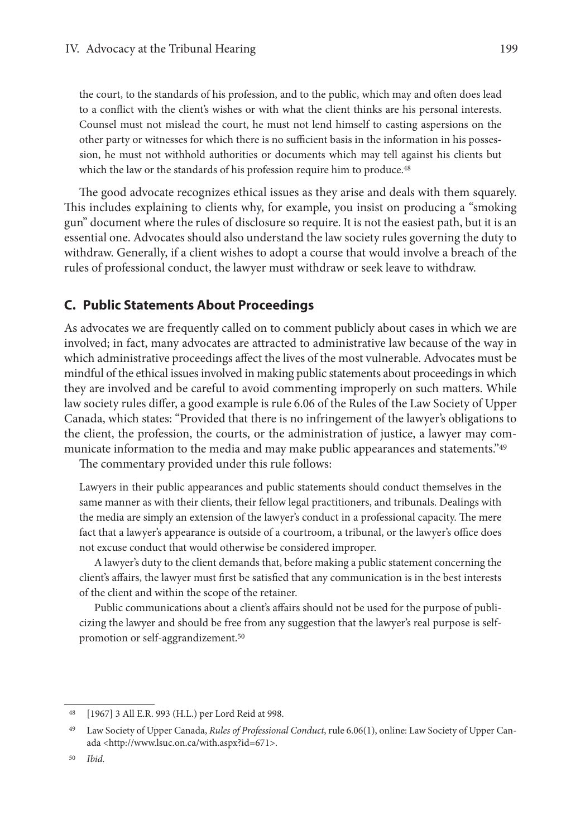<span id="page-14-0"></span>the court, to the standards of his profession, and to the public, which may and often does lead to a conflict with the client's wishes or with what the client thinks are his personal interests. Counsel must not mislead the court, he must not lend himself to casting aspersions on the other party or witnesses for which there is no sufficient basis in the information in his possession, he must not withhold authorities or documents which may tell against his clients but which the law or the standards of his profession require him to produce.<sup>48</sup>

The good advocate recognizes ethical issues as they arise and deals with them squarely. This includes explaining to clients why, for example, you insist on producing a "smoking gun" document where the rules of disclosure so require. It is not the easiest path, but it is an essential one. Advocates should also understand the law society rules governing the duty to withdraw. Generally, if a client wishes to adopt a course that would involve a breach of the rules of professional conduct, the lawyer must withdraw or seek leave to withdraw.

#### **C. Public Statements About Proceedings**

As advocates we are frequently called on to comment publicly about cases in which we are involved; in fact, many advocates are attracted to administrative law because of the way in which administrative proceedings affect the lives of the most vulnerable. Advocates must be mindful of the ethical issues involved in making public statements about proceedings in which they are involved and be careful to avoid commenting improperly on such matters. While law society rules differ, a good example is rule 6.06 of the Rules of the Law Society of Upper Canada, which states: "Provided that there is no infringement of the lawyer's obligations to the client, the profession, the courts, or the administration of justice, a lawyer may communicate information to the media and may make public appearances and statements.<sup>"49</sup>

The commentary provided under this rule follows:

Lawyers in their public appearances and public statements should conduct themselves in the same manner as with their clients, their fellow legal practitioners, and tribunals. Dealings with the media are simply an extension of the lawyer's conduct in a professional capacity. The mere fact that a lawyer's appearance is outside of a courtroom, a tribunal, or the lawyer's office does not excuse conduct that would otherwise be considered improper.

A lawyer's duty to the client demands that, before making a public statement concerning the client's affairs, the lawyer must first be satisfied that any communication is in the best interests of the client and within the scope of the retainer.

Public communications about a client's affairs should not be used for the purpose of publicizing the lawyer and should be free from any suggestion that the lawyer's real purpose is selfpromotion or self-aggrandizement.50

<sup>48 [1967]</sup> 3 All E.R. 993 (H.L.) per Lord Reid at 998.

<sup>49</sup> Law Society of Upper Canada, *Rules of Professional Conduct*, rule 6.06(1), online: Law Society of Upper Canada <http://www.lsuc.on.ca/with.aspx?id=671>.

<sup>50</sup> *Ibid.*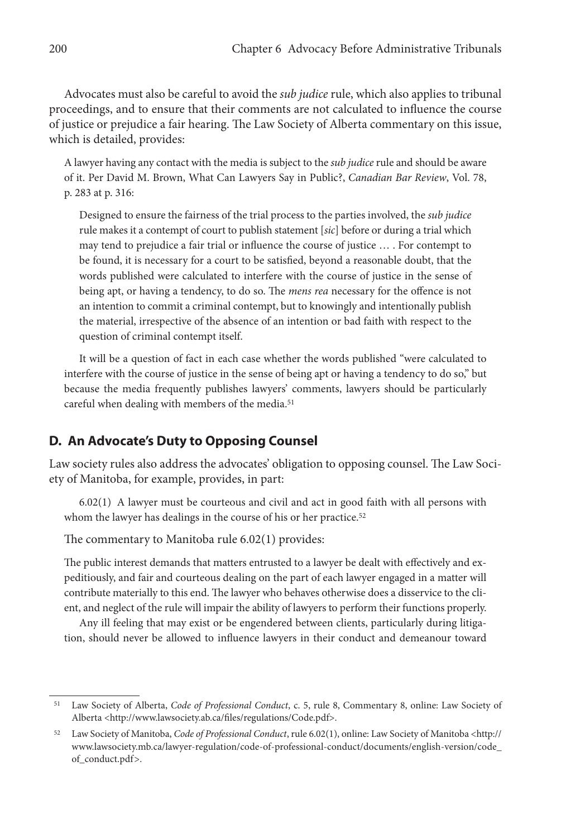<span id="page-15-0"></span>Advocates must also be careful to avoid the *sub judice* rule, which also applies to tribunal proceedings, and to ensure that their comments are not calculated to influence the course of justice or prejudice a fair hearing. The Law Society of Alberta commentary on this issue, which is detailed, provides:

A lawyer having any contact with the media is subject to the *sub judice* rule and should be aware of it. Per David M. Brown, What Can Lawyers Say in Public?, *Canadian Bar Review*, Vol. 78, p. 283 at p. 316:

Designed to ensure the fairness of the trial process to the parties involved, the *sub judice* rule makes it a contempt of court to publish statement [*sic*] before or during a trial which may tend to prejudice a fair trial or influence the course of justice … . For contempt to be found, it is necessary for a court to be satisfied, beyond a reasonable doubt, that the words published were calculated to interfere with the course of justice in the sense of being apt, or having a tendency, to do so. The *mens rea* necessary for the offence is not an intention to commit a criminal contempt, but to knowingly and intentionally publish the material, irrespective of the absence of an intention or bad faith with respect to the question of criminal contempt itself.

It will be a question of fact in each case whether the words published "were calculated to interfere with the course of justice in the sense of being apt or having a tendency to do so," but because the media frequently publishes lawyers' comments, lawyers should be particularly careful when dealing with members of the media.51

## **D. An Advocate's Duty to Opposing Counsel**

Law society rules also address the advocates' obligation to opposing counsel. The Law Society of Manitoba, for example, provides, in part:

6.02(1) A lawyer must be courteous and civil and act in good faith with all persons with whom the lawyer has dealings in the course of his or her practice.<sup>52</sup>

The commentary to Manitoba rule 6.02(1) provides:

The public interest demands that matters entrusted to a lawyer be dealt with effectively and expeditiously, and fair and courteous dealing on the part of each lawyer engaged in a matter will contribute materially to this end. The lawyer who behaves otherwise does a disservice to the client, and neglect of the rule will impair the ability of lawyers to perform their functions properly.

Any ill feeling that may exist or be engendered between clients, particularly during litigation, should never be allowed to influence lawyers in their conduct and demeanour toward

<sup>51</sup> Law Society of Alberta, *Code of Professional Conduct*, c. 5, rule 8, Commentary 8, online: Law Society of Alberta <http://www.lawsociety.ab.ca/files/regulations/Code.pdf>.

<sup>&</sup>lt;sup>52</sup> Law Society of Manitoba, *Code of Professional Conduct*, rule 6.02(1), online: Law Society of Manitoba <http:// www.lawsociety.mb.ca/lawyer-regulation/code-of-professional-conduct/documents/english-version/code\_ of\_conduct.pdf>.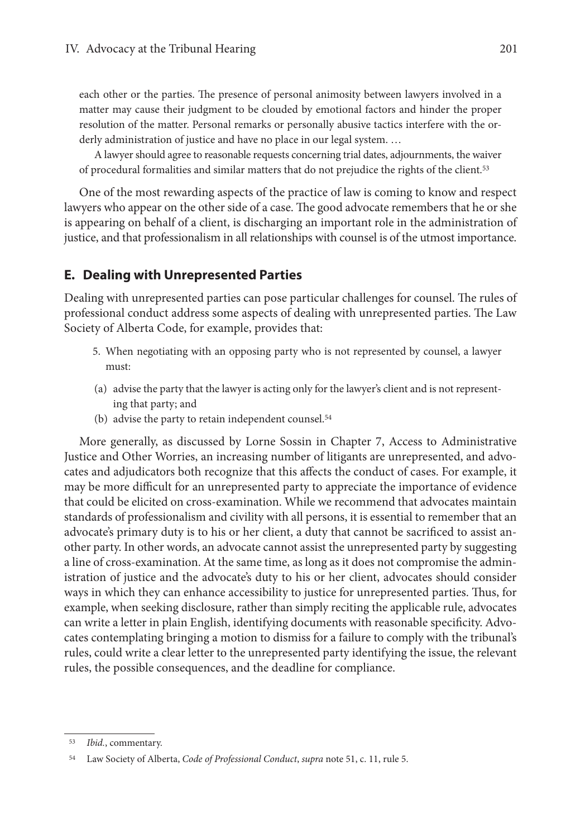<span id="page-16-0"></span>each other or the parties. The presence of personal animosity between lawyers involved in a matter may cause their judgment to be clouded by emotional factors and hinder the proper resolution of the matter. Personal remarks or personally abusive tactics interfere with the orderly administration of justice and have no place in our legal system. …

A lawyer should agree to reasonable requests concerning trial dates, adjournments, the waiver of procedural formalities and similar matters that do not prejudice the rights of the client.53

One of the most rewarding aspects of the practice of law is coming to know and respect lawyers who appear on the other side of a case. The good advocate remembers that he or she is appearing on behalf of a client, is discharging an important role in the administration of justice, and that professionalism in all relationships with counsel is of the utmost importance.

## **E. Dealing with Unrepresented Parties**

Dealing with unrepresented parties can pose particular challenges for counsel. The rules of professional conduct address some aspects of dealing with unrepresented parties. The Law Society of Alberta Code, for example, provides that:

- 5. When negotiating with an opposing party who is not represented by counsel, a lawyer must:
- (a) advise the party that the lawyer is acting only for the lawyer's client and is not representing that party; and
- (b) advise the party to retain independent counsel.<sup>54</sup>

More generally, as discussed by Lorne Sossin in Chapter 7, Access to Administrative Justice and Other Worries, an increasing number of litigants are unrepresented, and advocates and adjudicators both recognize that this affects the conduct of cases. For example, it may be more difficult for an unrepresented party to appreciate the importance of evidence that could be elicited on cross-examination. While we recommend that advocates maintain standards of professionalism and civility with all persons, it is essential to remember that an advocate's primary duty is to his or her client, a duty that cannot be sacrificed to assist another party. In other words, an advocate cannot assist the unrepresented party by suggesting a line of cross-examination. At the same time, as long as it does not compromise the administration of justice and the advocate's duty to his or her client, advocates should consider ways in which they can enhance accessibility to justice for unrepresented parties. Thus, for example, when seeking disclosure, rather than simply reciting the applicable rule, advocates can write a letter in plain English, identifying documents with reasonable specificity. Advocates contemplating bringing a motion to dismiss for a failure to comply with the tribunal's rules, could write a clear letter to the unrepresented party identifying the issue, the relevant rules, the possible consequences, and the deadline for compliance.

<sup>53</sup> *Ibid.*, commentary.

<sup>54</sup> Law Society of Alberta, *Code of Professional Conduct*, *supra* note 51, c. 11, rule 5.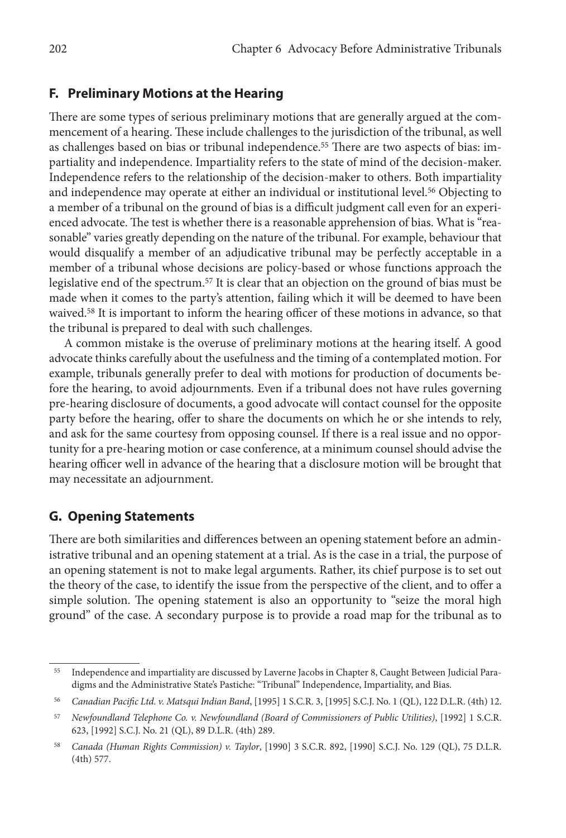## <span id="page-17-0"></span>**F. Preliminary Motions at the Hearing**

There are some types of serious preliminary motions that are generally argued at the commencement of a hearing. These include challenges to the jurisdiction of the tribunal, as well as challenges based on bias or tribunal independence.55 There are two aspects of bias: impartiality and independence. Impartiality refers to the state of mind of the decision-maker. Independence refers to the relationship of the decision-maker to others. Both impartiality and independence may operate at either an individual or institutional level.56 Objecting to a member of a tribunal on the ground of bias is a difficult judgment call even for an experienced advocate. The test is whether there is a reasonable apprehension of bias. What is "reasonable" varies greatly depending on the nature of the tribunal. For example, behaviour that would disqualify a member of an adjudicative tribunal may be perfectly acceptable in a member of a tribunal whose decisions are policy-based or whose functions approach the legislative end of the spectrum.57 It is clear that an objection on the ground of bias must be made when it comes to the party's attention, failing which it will be deemed to have been waived.58 It is important to inform the hearing officer of these motions in advance, so that the tribunal is prepared to deal with such challenges.

A common mistake is the overuse of preliminary motions at the hearing itself. A good advocate thinks carefully about the usefulness and the timing of a contemplated motion. For example, tribunals generally prefer to deal with motions for production of documents before the hearing, to avoid adjournments. Even if a tribunal does not have rules governing pre-hearing disclosure of documents, a good advocate will contact counsel for the opposite party before the hearing, offer to share the documents on which he or she intends to rely, and ask for the same courtesy from opposing counsel. If there is a real issue and no opportunity for a pre-hearing motion or case conference, at a minimum counsel should advise the hearing officer well in advance of the hearing that a disclosure motion will be brought that may necessitate an adjournment.

## **G. Opening Statements**

There are both similarities and differences between an opening statement before an administrative tribunal and an opening statement at a trial. As is the case in a trial, the purpose of an opening statement is not to make legal arguments. Rather, its chief purpose is to set out the theory of the case, to identify the issue from the perspective of the client, and to offer a simple solution. The opening statement is also an opportunity to "seize the moral high ground" of the case. A secondary purpose is to provide a road map for the tribunal as to

<sup>55</sup> Independence and impartiality are discussed by Laverne Jacobs in Chapter 8, Caught Between Judicial Paradigms and the Administrative State's Pastiche: "Tribunal" Independence, Impartiality, and Bias.

<sup>56</sup> *Canadian Pacific Ltd. v. Matsqui Indian Band*, [1995] 1 S.C.R. 3, [1995] S.C.J. No. 1 (QL), 122 D.L.R. (4th) 12.

<sup>57</sup> *Newfoundland Telephone Co. v. Newfoundland (Board of Commissioners of Public Utilities)*, [1992] 1 S.C.R. 623, [1992] S.C.J. No. 21 (QL), 89 D.L.R. (4th) 289.

<sup>58</sup> *Canada (Human Rights Commission) v. Taylor*, [1990] 3 S.C.R. 892, [1990] S.C.J. No. 129 (QL), 75 D.L.R. (4th) 577.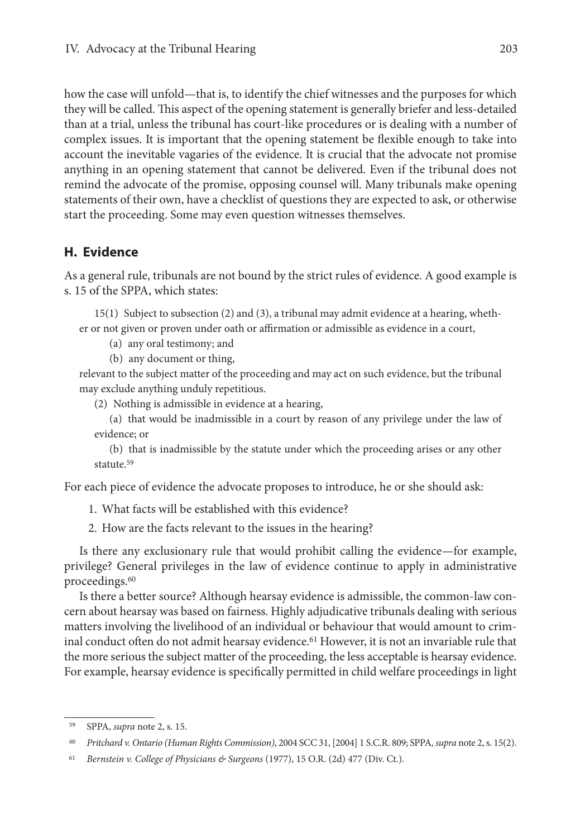<span id="page-18-0"></span>how the case will unfold—that is, to identify the chief witnesses and the purposes for which they will be called. This aspect of the opening statement is generally briefer and less-detailed than at a trial, unless the tribunal has court-like procedures or is dealing with a number of complex issues. It is important that the opening statement be flexible enough to take into account the inevitable vagaries of the evidence. It is crucial that the advocate not promise anything in an opening statement that cannot be delivered. Even if the tribunal does not remind the advocate of the promise, opposing counsel will. Many tribunals make opening statements of their own, have a checklist of questions they are expected to ask, or otherwise start the proceeding. Some may even question witnesses themselves.

## **H. Evidence**

As a general rule, tribunals are not bound by the strict rules of evidence. A good example is s. 15 of the SPPA, which states:

15(1) Subject to subsection (2) and (3), a tribunal may admit evidence at a hearing, whether or not given or proven under oath or affirmation or admissible as evidence in a court,

(a) any oral testimony; and

(b) any document or thing,

relevant to the subject matter of the proceeding and may act on such evidence, but the tribunal may exclude anything unduly repetitious.

(2) Nothing is admissible in evidence at a hearing,

(a) that would be inadmissible in a court by reason of any privilege under the law of evidence; or

(b) that is inadmissible by the statute under which the proceeding arises or any other statute.59

For each piece of evidence the advocate proposes to introduce, he or she should ask:

1. What facts will be established with this evidence?

2. How are the facts relevant to the issues in the hearing?

Is there any exclusionary rule that would prohibit calling the evidence—for example, privilege? General privileges in the law of evidence continue to apply in administrative proceedings.<sup>60</sup>

Is there a better source? Although hearsay evidence is admissible, the common-law concern about hearsay was based on fairness. Highly adjudicative tribunals dealing with serious matters involving the livelihood of an individual or behaviour that would amount to criminal conduct often do not admit hearsay evidence.<sup>61</sup> However, it is not an invariable rule that the more serious the subject matter of the proceeding, the less acceptable is hearsay evidence. For example, hearsay evidence is specifically permitted in child welfare proceedings in light

<sup>59</sup> SPPA, *supra* note 2, s. 15.

<sup>60</sup> *Pritchard v. Ontario (Human Rights Commission)*, 2004 SCC 31, [2004] 1 S.C.R. 809; SPPA, *supra* note 2,s. 15(2).

<sup>61</sup> *Bernstein v. College of Physicians & Surgeons* (1977), 15 O.R. (2d) 477 (Div. Ct.).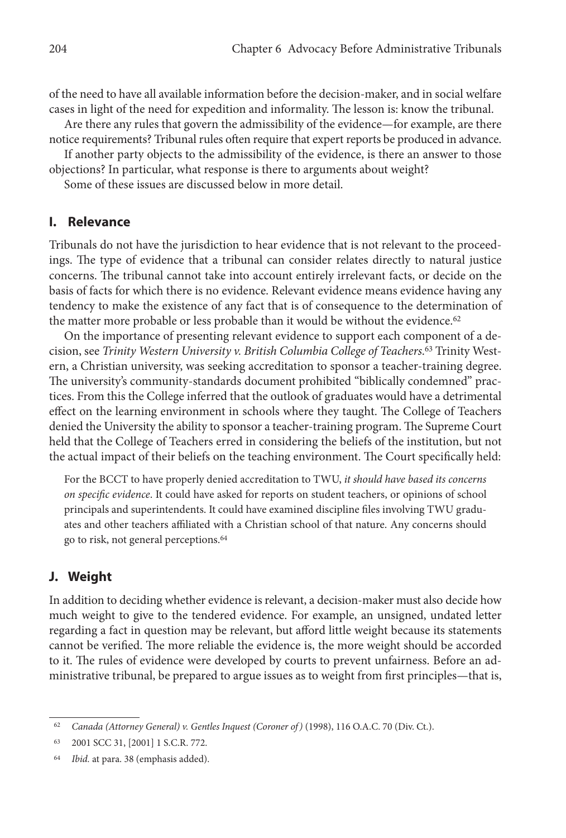<span id="page-19-0"></span>of the need to have all available information before the decision-maker, and in social welfare cases in light of the need for expedition and informality. The lesson is: know the tribunal.

Are there any rules that govern the admissibility of the evidence—for example, are there notice requirements? Tribunal rules often require that expert reports be produced in advance.

If another party objects to the admissibility of the evidence, is there an answer to those objections? In particular, what response is there to arguments about weight?

Some of these issues are discussed below in more detail.

**I. Relevance**

Tribunals do not have the jurisdiction to hear evidence that is not relevant to the proceedings. The type of evidence that a tribunal can consider relates directly to natural justice concerns. The tribunal cannot take into account entirely irrelevant facts, or decide on the basis of facts for which there is no evidence. Relevant evidence means evidence having any tendency to make the existence of any fact that is of consequence to the determination of the matter more probable or less probable than it would be without the evidence.<sup>62</sup>

On the importance of presenting relevant evidence to support each component of a decision, see *Trinity Western University v. British Columbia College of Teachers*. <sup>63</sup> Trinity Western, a Christian university, was seeking accreditation to sponsor a teacher-training degree. The university's community-standards document prohibited "biblically condemned" practices. From this the College inferred that the outlook of graduates would have a detrimental effect on the learning environment in schools where they taught. The College of Teachers denied the University the ability to sponsor a teacher-training program. The Supreme Court held that the College of Teachers erred in considering the beliefs of the institution, but not the actual impact of their beliefs on the teaching environment. The Court specifically held:

For the BCCT to have properly denied accreditation to TWU, *it should have based its concerns on specific evidence*. It could have asked for reports on student teachers, or opinions of school principals and superintendents. It could have examined discipline files involving TWU graduates and other teachers affiliated with a Christian school of that nature. Any concerns should go to risk, not general perceptions.64

## **J. Weight**

In addition to deciding whether evidence is relevant, a decision-maker must also decide how much weight to give to the tendered evidence. For example, an unsigned, undated letter regarding a fact in question may be relevant, but afford little weight because its statements cannot be verified. The more reliable the evidence is, the more weight should be accorded to it. The rules of evidence were developed by courts to prevent unfairness. Before an administrative tribunal, be prepared to argue issues as to weight from first principles—that is,

<sup>62</sup> *Canada (Attorney General) v. Gentles Inquest (Coroner of )* (1998), 116 O.A.C. 70 (Div. Ct.).

<sup>63 2001</sup> SCC 31, [2001] 1 S.C.R. 772.

<sup>64</sup> *Ibid.* at para. 38 (emphasis added).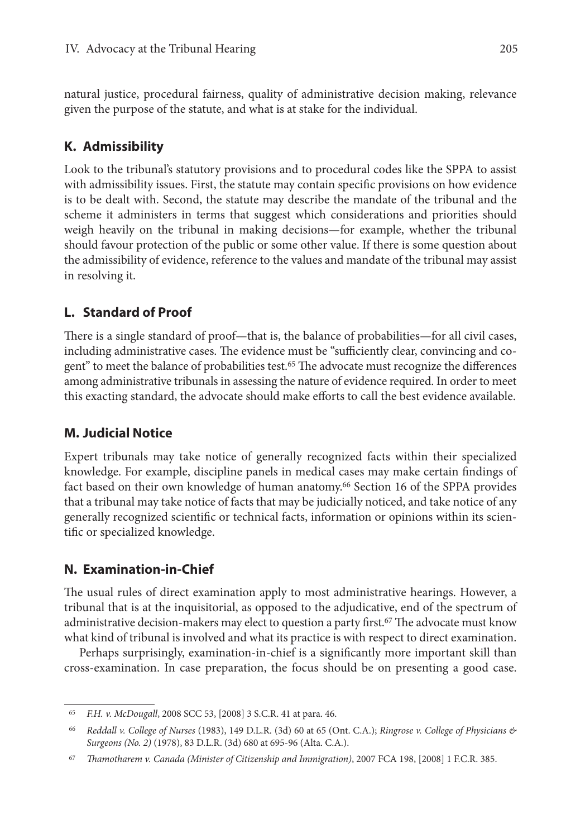<span id="page-20-0"></span>natural justice, procedural fairness, quality of administrative decision making, relevance given the purpose of the statute, and what is at stake for the individual.

# **K. Admissibility**

Look to the tribunal's statutory provisions and to procedural codes like the SPPA to assist with admissibility issues. First, the statute may contain specific provisions on how evidence is to be dealt with. Second, the statute may describe the mandate of the tribunal and the scheme it administers in terms that suggest which considerations and priorities should weigh heavily on the tribunal in making decisions—for example, whether the tribunal should favour protection of the public or some other value. If there is some question about the admissibility of evidence, reference to the values and mandate of the tribunal may assist in resolving it.

# **L. Standard of Proof**

There is a single standard of proof—that is, the balance of probabilities—for all civil cases, including administrative cases. The evidence must be "sufficiently clear, convincing and cogent" to meet the balance of probabilities test.65 The advocate must recognize the differences among administrative tribunals in assessing the nature of evidence required. In order to meet this exacting standard, the advocate should make efforts to call the best evidence available.

# **M. Judicial Notice**

Expert tribunals may take notice of generally recognized facts within their specialized knowledge. For example, discipline panels in medical cases may make certain findings of fact based on their own knowledge of human anatomy.66 Section 16 of the SPPA provides that a tribunal may take notice of facts that may be judicially noticed, and take notice of any generally recognized scientific or technical facts, information or opinions within its scientific or specialized knowledge.

# **N. Examination-in-Chief**

The usual rules of direct examination apply to most administrative hearings. However, a tribunal that is at the inquisitorial, as opposed to the adjudicative, end of the spectrum of administrative decision-makers may elect to question a party first.<sup>67</sup> The advocate must know what kind of tribunal is involved and what its practice is with respect to direct examination.

Perhaps surprisingly, examination-in-chief is a significantly more important skill than cross-examination. In case preparation, the focus should be on presenting a good case.

<sup>65</sup> *F.H. v. McDougall*, 2008 SCC 53, [2008] 3 S.C.R. 41 at para. 46.

<sup>66</sup> *Reddall v. College of Nurses* (1983), 149 D.L.R. (3d) 60 at 65 (Ont. C.A.); *Ringrose v. College of Physicians & Surgeons (No. 2)* (1978), 83 D.L.R. (3d) 680 at 695-96 (Alta. C.A.).

<sup>67</sup> *Thamotharem v. Canada (Minister of Citizenship and Immigration)*, 2007 FCA 198, [2008] 1 F.C.R. 385.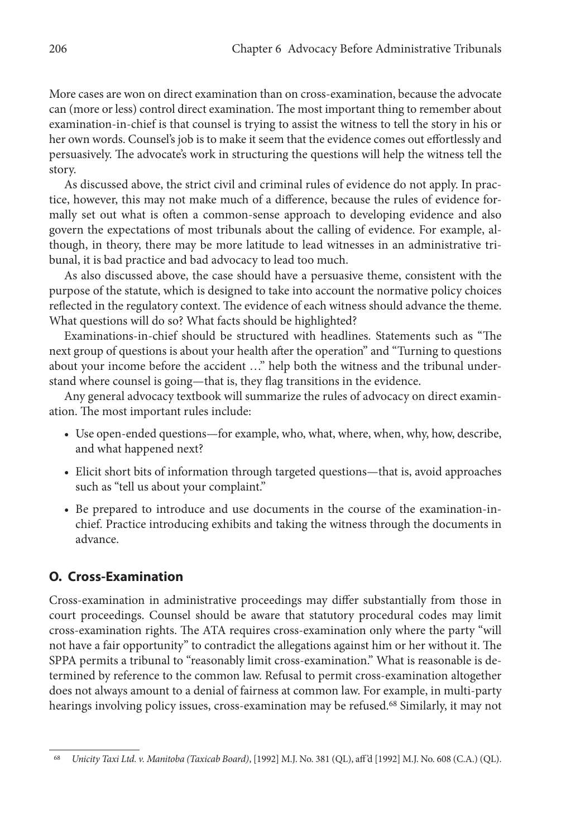<span id="page-21-0"></span>More cases are won on direct examination than on cross-examination, because the advocate can (more or less) control direct examination. The most important thing to remember about examination-in-chief is that counsel is trying to assist the witness to tell the story in his or her own words. Counsel's job is to make it seem that the evidence comes out effortlessly and persuasively. The advocate's work in structuring the questions will help the witness tell the story.

As discussed above, the strict civil and criminal rules of evidence do not apply. In practice, however, this may not make much of a difference, because the rules of evidence formally set out what is often a common-sense approach to developing evidence and also govern the expectations of most tribunals about the calling of evidence. For example, although, in theory, there may be more latitude to lead witnesses in an administrative tribunal, it is bad practice and bad advocacy to lead too much.

As also discussed above, the case should have a persuasive theme, consistent with the purpose of the statute, which is designed to take into account the normative policy choices reflected in the regulatory context. The evidence of each witness should advance the theme. What questions will do so? What facts should be highlighted?

Examinations-in-chief should be structured with headlines. Statements such as "The next group of questions is about your health after the operation" and "Turning to questions about your income before the accident …" help both the witness and the tribunal understand where counsel is going—that is, they flag transitions in the evidence.

Any general advocacy textbook will summarize the rules of advocacy on direct examination. The most important rules include:

- • Use open-ended questions—for example, who, what, where, when, why, how, describe, and what happened next?
- Elicit short bits of information through targeted questions—that is, avoid approaches such as "tell us about your complaint."
- • Be prepared to introduce and use documents in the course of the examination-inchief. Practice introducing exhibits and taking the witness through the documents in advance.

# **O. Cross-Examination**

Cross-examination in administrative proceedings may differ substantially from those in court proceedings. Counsel should be aware that statutory procedural codes may limit cross-examination rights. The ATA requires cross-examination only where the party "will not have a fair opportunity" to contradict the allegations against him or her without it. The SPPA permits a tribunal to "reasonably limit cross-examination." What is reasonable is determined by reference to the common law. Refusal to permit cross-examination altogether does not always amount to a denial of fairness at common law. For example, in multi-party hearings involving policy issues, cross-examination may be refused.<sup>68</sup> Similarly, it may not

<sup>68</sup> *Unicity Taxi Ltd. v. Manitoba (Taxicab Board)*, [1992] M.J. No. 381 (QL), aff 'd [1992] M.J. No. 608 (C.A.) (QL).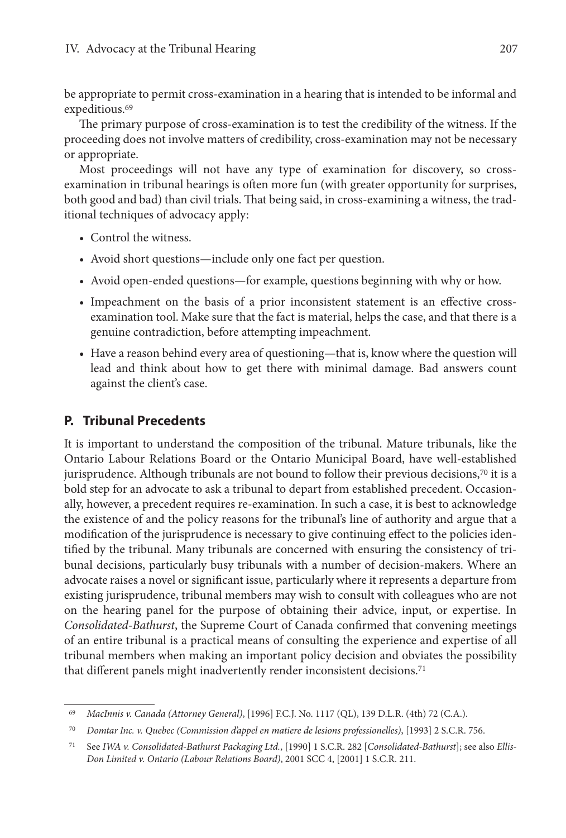<span id="page-22-0"></span>be appropriate to permit cross-examination in a hearing that is intended to be informal and expeditious.<sup>69</sup>

The primary purpose of cross-examination is to test the credibility of the witness. If the proceeding does not involve matters of credibility, cross-examination may not be necessary or appropriate.

Most proceedings will not have any type of examination for discovery, so crossexamination in tribunal hearings is often more fun (with greater opportunity for surprises, both good and bad) than civil trials. That being said, in cross-examining a witness, the traditional techniques of advocacy apply:

- Control the witness.
- Avoid short questions—include only one fact per question.
- • Avoid open-ended questions—for example, questions beginning with why or how.
- • Impeachment on the basis of a prior inconsistent statement is an effective crossexamination tool. Make sure that the fact is material, helps the case, and that there is a genuine contradiction, before attempting impeachment.
- Have a reason behind every area of questioning—that is, know where the question will lead and think about how to get there with minimal damage. Bad answers count against the client's case.

# **P. Tribunal Precedents**

It is important to understand the composition of the tribunal. Mature tribunals, like the Ontario Labour Relations Board or the Ontario Municipal Board, have well-established jurisprudence. Although tribunals are not bound to follow their previous decisions, $70$  it is a bold step for an advocate to ask a tribunal to depart from established precedent. Occasionally, however, a precedent requires re-examination. In such a case, it is best to acknowledge the existence of and the policy reasons for the tribunal's line of authority and argue that a modification of the jurisprudence is necessary to give continuing effect to the policies identified by the tribunal. Many tribunals are concerned with ensuring the consistency of tribunal decisions, particularly busy tribunals with a number of decision-makers. Where an advocate raises a novel or significant issue, particularly where it represents a departure from existing jurisprudence, tribunal members may wish to consult with colleagues who are not on the hearing panel for the purpose of obtaining their advice, input, or expertise. In *Consolidated-Bathurst*, the Supreme Court of Canada confirmed that convening meetings of an entire tribunal is a practical means of consulting the experience and expertise of all tribunal members when making an important policy decision and obviates the possibility that different panels might inadvertently render inconsistent decisions.71

<sup>69</sup> *MacInnis v. Canada (Attorney General)*, [1996] F.C.J. No. 1117 (QL), 139 D.L.R. (4th) 72 (C.A.).

<sup>70</sup> *Domtar Inc. v. Quebec (Commission d'appel en matiere de lesions professionelles)*, [1993] 2 S.C.R. 756.

<sup>71</sup> See *IWA v. Consolidated-Bathurst Packaging Ltd.*, [1990] 1 S.C.R. 282 [*Consolidated-Bathurst*]; see also *Ellis-Don Limited v. Ontario (Labour Relations Board)*, 2001 SCC 4, [2001] 1 S.C.R. 211.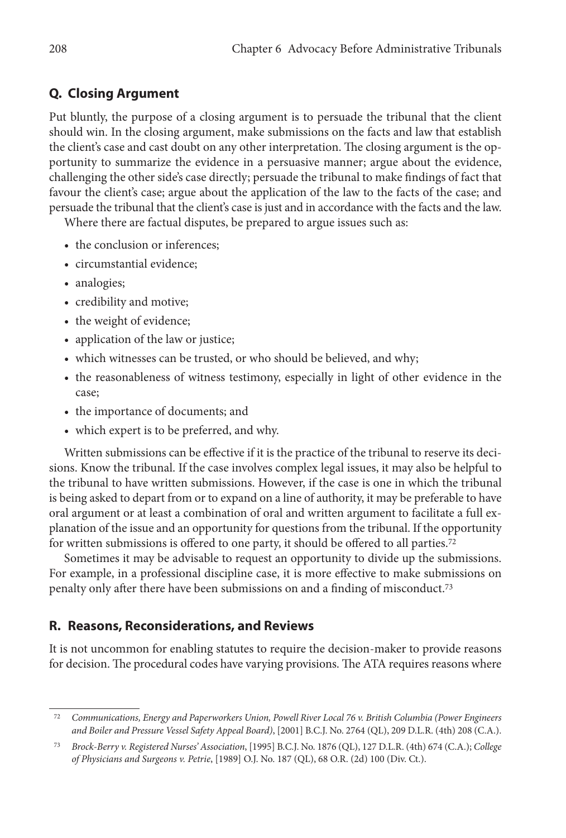## <span id="page-23-0"></span>**Q. Closing Argument**

Put bluntly, the purpose of a closing argument is to persuade the tribunal that the client should win. In the closing argument, make submissions on the facts and law that establish the client's case and cast doubt on any other interpretation. The closing argument is the opportunity to summarize the evidence in a persuasive manner; argue about the evidence, challenging the other side's case directly; persuade the tribunal to make findings of fact that favour the client's case; argue about the application of the law to the facts of the case; and persuade the tribunal that the client's case is just and in accordance with the facts and the law.

Where there are factual disputes, be prepared to argue issues such as:

- the conclusion or inferences;
- circumstantial evidence;
- analogies;
- credibility and motive;
- the weight of evidence;
- application of the law or justice;
- which witnesses can be trusted, or who should be believed, and why;
- the reasonableness of witness testimony, especially in light of other evidence in the case;
- the importance of documents; and
- which expert is to be preferred, and why.

Written submissions can be effective if it is the practice of the tribunal to reserve its decisions. Know the tribunal. If the case involves complex legal issues, it may also be helpful to the tribunal to have written submissions. However, if the case is one in which the tribunal is being asked to depart from or to expand on a line of authority, it may be preferable to have oral argument or at least a combination of oral and written argument to facilitate a full explanation of the issue and an opportunity for questions from the tribunal. If the opportunity for written submissions is offered to one party, it should be offered to all parties.72

Sometimes it may be advisable to request an opportunity to divide up the submissions. For example, in a professional discipline case, it is more effective to make submissions on penalty only after there have been submissions on and a finding of misconduct.73

## **R. Reasons, Reconsiderations, and Reviews**

It is not uncommon for enabling statutes to require the decision-maker to provide reasons for decision. The procedural codes have varying provisions. The ATA requires reasons where

<sup>72</sup> *Communications, Energy and Paperworkers Union, Powell River Local 76 v. British Columbia (Power Engineers and Boiler and Pressure Vessel Safety Appeal Board)*, [2001] B.C.J. No. 2764 (QL), 209 D.L.R. (4th) 208 (C.A.).

<sup>73</sup> *Brock-Berry v. Registered Nurses' Association*, [1995] B.C.J. No. 1876 (QL), 127 D.L.R. (4th) 674 (C.A.); *College of Physicians and Surgeons v. Petrie*, [1989] O.J. No. 187 (QL), 68 O.R. (2d) 100 (Div. Ct.).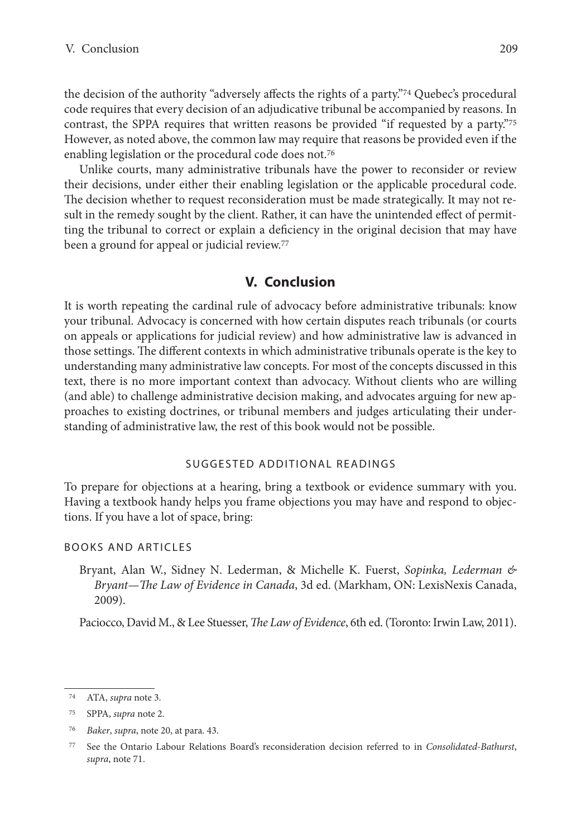<span id="page-24-0"></span>the decision of the authority "adversely affects the rights of a party."74 Quebec's procedural code requires that every decision of an adjudicative tribunal be accompanied by reasons. In contrast, the SPPA requires that written reasons be provided "if requested by a party."75 However, as noted above, the common law may require that reasons be provided even if the enabling legislation or the procedural code does not.76

Unlike courts, many administrative tribunals have the power to reconsider or review their decisions, under either their enabling legislation or the applicable procedural code. The decision whether to request reconsideration must be made strategically. It may not result in the remedy sought by the client. Rather, it can have the unintended effect of permitting the tribunal to correct or explain a deficiency in the original decision that may have been a ground for appeal or judicial review.77

## **V. Conclusion**

It is worth repeating the cardinal rule of advocacy before administrative tribunals: know your tribunal. Advocacy is concerned with how certain disputes reach tribunals (or courts on appeals or applications for judicial review) and how administrative law is advanced in those settings. The different contexts in which administrative tribunals operate is the key to understanding many administrative law concepts. For most of the concepts discussed in this text, there is no more important context than advocacy. Without clients who are willing (and able) to challenge administrative decision making, and advocates arguing for new approaches to existing doctrines, or tribunal members and judges articulating their understanding of administrative law, the rest of this book would not be possible.

#### SUGGESTED ADDITIONAL READINGS

To prepare for objections at a hearing, bring a textbook or evidence summary with you. Having a textbook handy helps you frame objections you may have and respond to objections. If you have a lot of space, bring:

#### **BOOKS AND ARTICLES**

Bryant, Alan W., Sidney N. Lederman, & Michelle K. Fuerst, *Sopinka, Lederman & Bryant—The Law of Evidence in Canada*, 3d ed. (Markham, ON: LexisNexis Canada, 2009).

Paciocco, David M., & Lee Stuesser, *The Law of Evidence*, 6th ed. (Toronto: Irwin Law, 2011).

<sup>74</sup> ATA, *supra* note 3.

<sup>75</sup> SPPA, *supra* note 2.

<sup>76</sup> *Baker*, *supra*, note 20, at para. 43.

<sup>77</sup> See the Ontario Labour Relations Board's reconsideration decision referred to in *Consolidated-Bathurst*, *supra*, note 71.